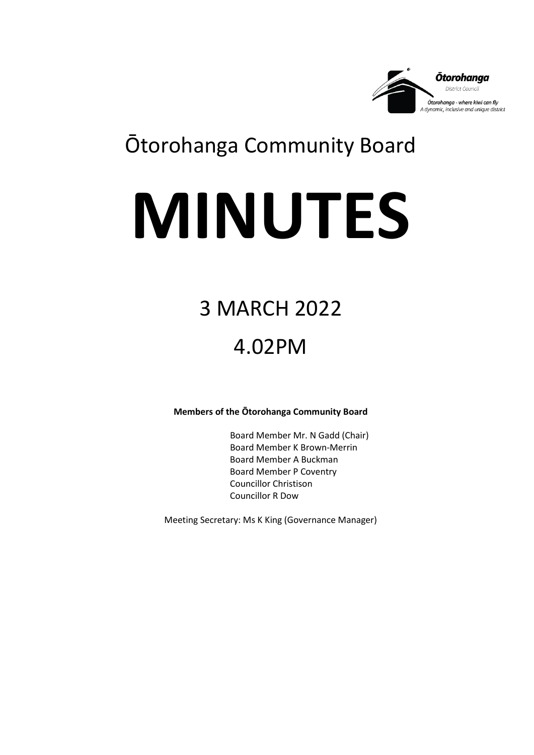

## Ōtorohanga Community Board

# **MINUTES**

# 3 MARCH 2022

## 4.02PM

**Members of the Ōtorohanga Community Board**

Board Member Mr. N Gadd (Chair) Board Member K Brown-Merrin Board Member A Buckman Board Member P Coventry Councillor Christison Councillor R Dow

Meeting Secretary: Ms K King (Governance Manager)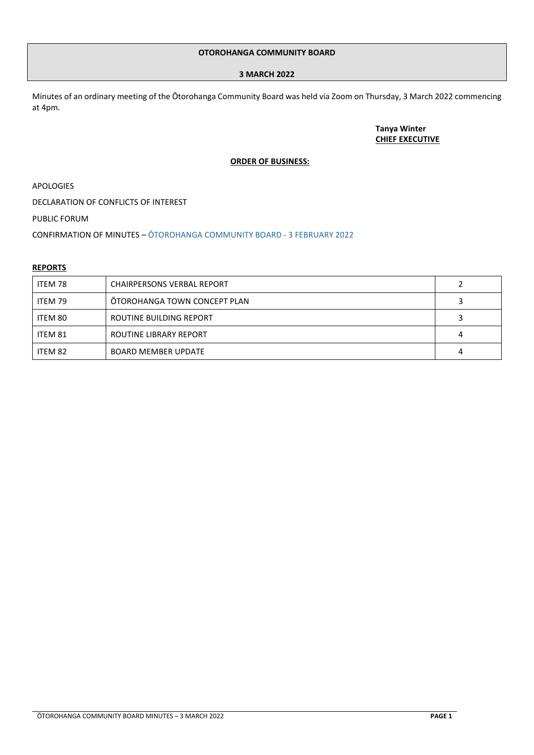#### **OTOROHANGA COMMUNITY BOARD**

#### **3 MARCH 2022**

Minutes of an ordinary meeting of the Ōtorohanga Community Board was held via Zoom on Thursday, 3 March 2022 commencing at 4pm.

> **Tanya Winter CHIEF EXECUTIVE**

#### **ORDER OF BUSINESS:**

APOLOGIES

DECLARATION OF CONFLICTS OF INTEREST

PUBLIC FORUM

CONFIRMATION OF MINUTES – ŌTOROHANGA [COMMUNITY BOARD](https://www.otodc.govt.nz/media/y35pfsli/ocb-minutes-3-february-2022.pdf) - 3 FEBRUARY 2022

#### **REPORTS**

| ITEM 78 | <b>CHAIRPERSONS VERBAL REPORT</b> |   |
|---------|-----------------------------------|---|
| ITEM 79 | OTOROHANGA TOWN CONCEPT PLAN      |   |
| ITEM 80 | ROUTINE BUILDING REPORT           |   |
| ITEM 81 | ROUTINE LIBRARY REPORT            | 4 |
| ITEM 82 | <b>BOARD MEMBER UPDATE</b>        | 4 |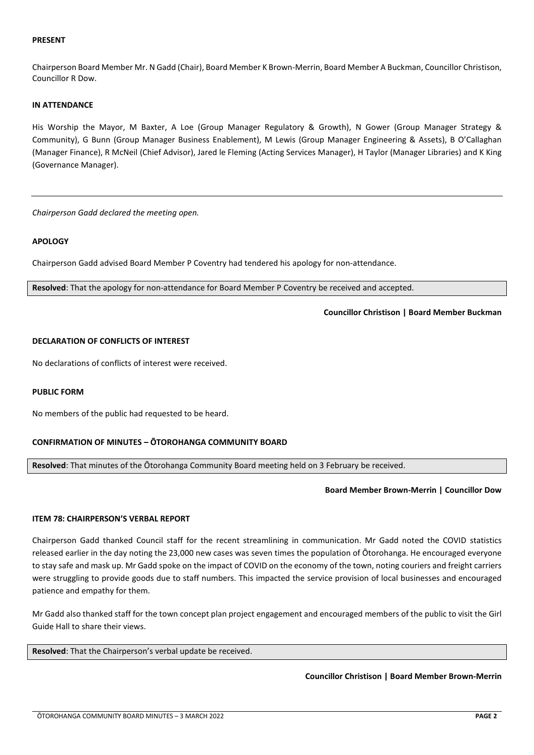#### **PRESENT**

Chairperson Board Member Mr. N Gadd (Chair), Board Member K Brown-Merrin, Board Member A Buckman, Councillor Christison, Councillor R Dow.

#### **IN ATTENDANCE**

His Worship the Mayor, M Baxter, A Loe (Group Manager Regulatory & Growth), N Gower (Group Manager Strategy & Community), G Bunn (Group Manager Business Enablement), M Lewis (Group Manager Engineering & Assets), B O'Callaghan (Manager Finance), R McNeil (Chief Advisor), Jared le Fleming (Acting Services Manager), H Taylor (Manager Libraries) and K King (Governance Manager).

*Chairperson Gadd declared the meeting open.*

#### **APOLOGY**

Chairperson Gadd advised Board Member P Coventry had tendered his apology for non-attendance.

**Resolved**: That the apology for non-attendance for Board Member P Coventry be received and accepted.

**Councillor Christison | Board Member Buckman**

#### **DECLARATION OF CONFLICTS OF INTEREST**

No declarations of conflicts of interest were received.

#### **PUBLIC FORM**

No members of the public had requested to be heard.

#### **CONFIRMATION OF MINUTES – ŌTOROHANGA COMMUNITY BOARD**

**Resolved**: That minutes of the Ōtorohanga Community Board meeting held on 3 February be received.

#### **Board Member Brown-Merrin | Councillor Dow**

#### <span id="page-2-0"></span>**ITEM 78: CHAIRPERSON'S VERBAL REPORT**

Chairperson Gadd thanked Council staff for the recent streamlining in communication. Mr Gadd noted the COVID statistics released earlier in the day noting the 23,000 new cases was seven times the population of Ōtorohanga. He encouraged everyone to stay safe and mask up. Mr Gadd spoke on the impact of COVID on the economy of the town, noting couriers and freight carriers were struggling to provide goods due to staff numbers. This impacted the service provision of local businesses and encouraged patience and empathy for them.

Mr Gadd also thanked staff for the town concept plan project engagement and encouraged members of the public to visit the Girl Guide Hall to share their views.

**Resolved**: That the Chairperson's verbal update be received.

**Councillor Christison | Board Member Brown-Merrin**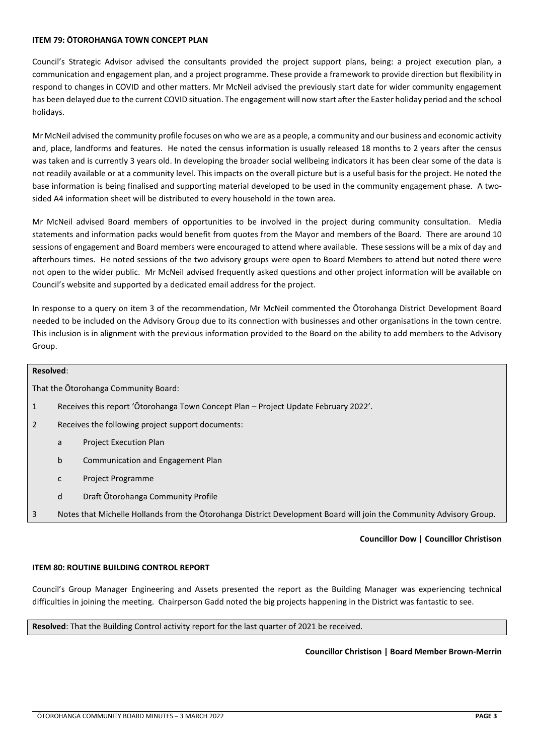#### **ITEM 79: ŌTOROHANGA TOWN CONCEPT PLAN**

Council's Strategic Advisor advised the consultants provided the project support plans, being: a project execution plan, a communication and engagement plan, and a project programme. These provide a framework to provide direction but flexibility in respond to changes in COVID and other matters. Mr McNeil advised the previously start date for wider community engagement has been delayed due to the current COVID situation. The engagement will now start after the Easter holiday period and the school holidays.

Mr McNeil advised the community profile focuses on who we are as a people, a community and our business and economic activity and, place, landforms and features. He noted the census information is usually released 18 months to 2 years after the census was taken and is currently 3 years old. In developing the broader social wellbeing indicators it has been clear some of the data is not readily available or at a community level. This impacts on the overall picture but is a useful basis for the project. He noted the base information is being finalised and supporting material developed to be used in the community engagement phase. A twosided A4 information sheet will be distributed to every household in the town area.

Mr McNeil advised Board members of opportunities to be involved in the project during community consultation. Media statements and information packs would benefit from quotes from the Mayor and members of the Board. There are around 10 sessions of engagement and Board members were encouraged to attend where available. These sessions will be a mix of day and afterhours times. He noted sessions of the two advisory groups were open to Board Members to attend but noted there were not open to the wider public. Mr McNeil advised frequently asked questions and other project information will be available on Council's website and supported by a dedicated email address for the project.

In response to a query on item 3 of the recommendation, Mr McNeil commented the Ōtorohanga District Development Board needed to be included on the Advisory Group due to its connection with businesses and other organisations in the town centre. This inclusion is in alignment with the previous information provided to the Board on the ability to add members to the Advisory Group.

#### **Resolved**:

That the Ōtorohanga Community Board:

- 1 Receives this report 'Ōtorohanga Town Concept Plan Project Update February 2022'.
- 2 Receives the following project support documents:
	- a Project Execution Plan
	- b Communication and Engagement Plan
	- c Project Programme
	- d Draft Ōtorohanga Community Profile
- 3 Notes that Michelle Hollands from the Ōtorohanga District Development Board will join the Community Advisory Group.

#### **Councillor Dow | Councillor Christison**

#### <span id="page-3-0"></span>**ITEM 80: ROUTINE BUILDING CONTROL REPORT**

Council's Group Manager Engineering and Assets presented the report as the Building Manager was experiencing technical difficulties in joining the meeting. Chairperson Gadd noted the big projects happening in the District was fantastic to see.

**Resolved**: That the Building Control activity report for the last quarter of 2021 be received.

#### **Councillor Christison | Board Member Brown-Merrin**